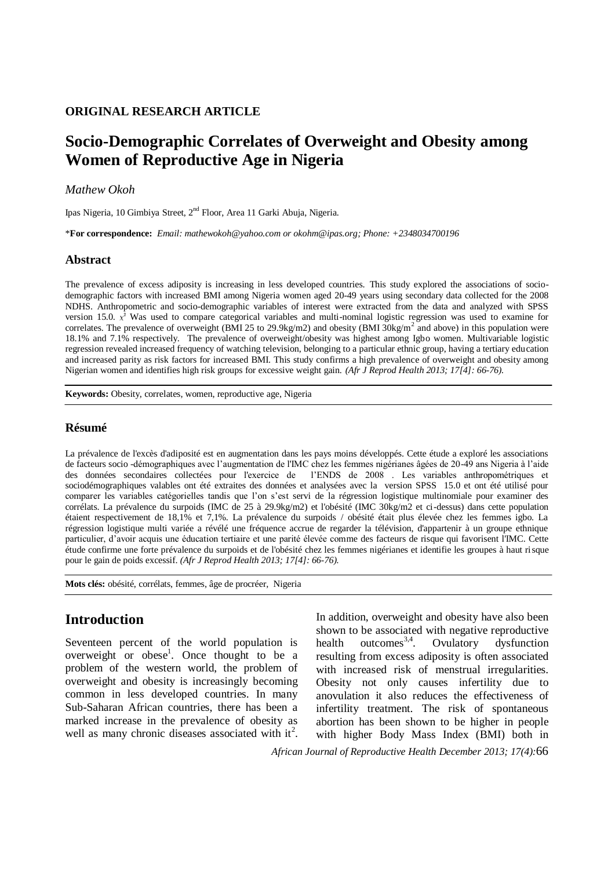### **ORIGINAL RESEARCH ARTICLE**

# **Socio-Demographic Correlates of Overweight and Obesity among Women of Reproductive Age in Nigeria**

### *Mathew Okoh*

Ipas Nigeria, 10 Gimbiya Street, 2nd Floor, Area 11 Garki Abuja, Nigeria.

\***For correspondence:** *Email: mathewokoh@yahoo.com or okohm@ipas.org; Phone: +2348034700196*

#### **Abstract**

The prevalence of excess adiposity is increasing in less developed countries. This study explored the associations of sociodemographic factors with increased BMI among Nigeria women aged 20-49 years using secondary data collected for the 2008 NDHS. Anthropometric and socio-demographic variables of interest were extracted from the data and analyzed with SPSS version 15.0.  $x^2$  Was used to compare categorical variables and multi-nominal logistic regression was used to examine for correlates. The prevalence of overweight (BMI 25 to 29.9kg/m2) and obesity (BMI  $30\text{kg/m}^2$  and above) in this population were 18.1% and 7.1% respectively. The prevalence of overweight/obesity was highest among Igbo women. Multivariable logistic regression revealed increased frequency of watching television, belonging to a particular ethnic group, having a tertiary education and increased parity as risk factors for increased BMI. This study confirms a high prevalence of overweight and obesity among Nigerian women and identifies high risk groups for excessive weight gain. *(Afr J Reprod Health 2013; 17[4]: 66-76).*

**Keywords:** Obesity, correlates, women, reproductive age, Nigeria

### **Résumé**

La prévalence de l'excès d'adiposité est en augmentation dans les pays moins développés. Cette étude a exploré les associations de facteurs socio -démographiques avec l'augmentation de l'IMC chez les femmes nigérianes âgées de 20-49 ans Nigeria à l'aide des données secondaires collectées pour l'exercice de l'ENDS de 2008 . Les variables anthropométriques et sociodémographiques valables ont été extraites des données et analysées avec la version SPSS 15.0 et ont été utilisé pour comparer les variables catégorielles tandis que l'on s'est servi de la régression logistique multinomiale pour examiner des corrélats. La prévalence du surpoids (IMC de 25 à 29.9kg/m2) et l'obésité (IMC 30kg/m2 et ci-dessus) dans cette population étaient respectivement de 18,1% et 7,1%. La prévalence du surpoids / obésité était plus élevée chez les femmes igbo. La régression logistique multi variée a révélé une fréquence accrue de regarder la télévision, d'appartenir à un groupe ethnique particulier, d'avoir acquis une éducation tertiaire et une parité élevée comme des facteurs de risque qui favorisent l'IMC. Cette étude confirme une forte prévalence du surpoids et de l'obésité chez les femmes nigérianes et identifie les groupes à haut risque pour le gain de poids excessif. *(Afr J Reprod Health 2013; 17[4]: 66-76).*

**Mots clés:** obésité, corrélats, femmes, âge de procréer, Nigeria

## **Introduction**

Seventeen percent of the world population is overweight or obese<sup>1</sup>. Once thought to be a problem of the western world, the problem of overweight and obesity is increasingly becoming common in less developed countries. In many Sub-Saharan African countries, there has been a marked increase in the prevalence of obesity as well as many chronic diseases associated with  $it^2$ . In addition, overweight and obesity have also been shown to be associated with negative reproductive health outcomes  $3,4$ . . Ovulatory dysfunction resulting from excess adiposity is often associated with increased risk of menstrual irregularities. Obesity not only causes infertility due to anovulation it also reduces the effectiveness of infertility treatment. The risk of spontaneous abortion has been shown to be higher in people with higher Body Mass Index (BMI) both in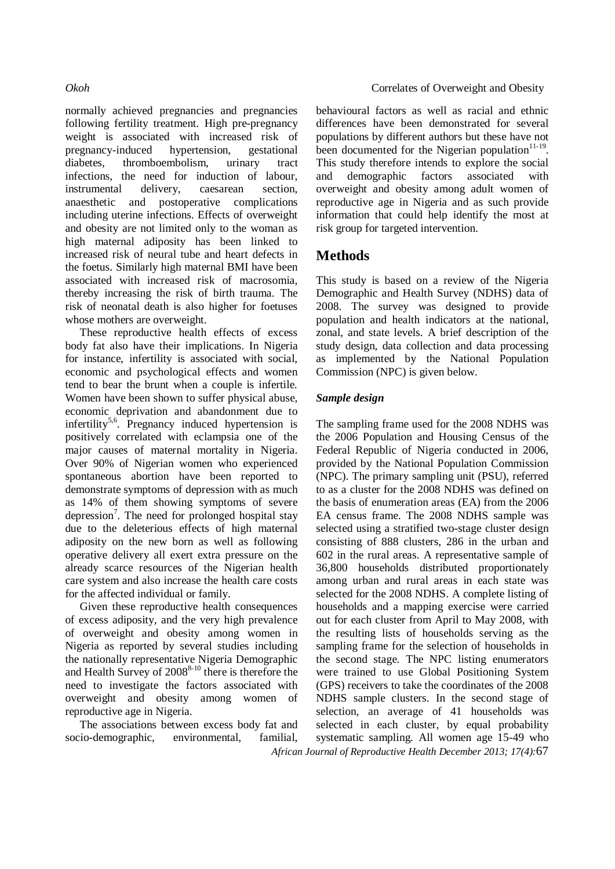normally achieved pregnancies and pregnancies following fertility treatment. High pre-pregnancy weight is associated with increased risk of pregnancy-induced hypertension, gestational diabetes, thromboembolism, urinary tract infections, the need for induction of labour, instrumental delivery, caesarean section, anaesthetic and postoperative complications including uterine infections. Effects of overweight and obesity are not limited only to the woman as high maternal adiposity has been linked to increased risk of neural tube and heart defects in the foetus. Similarly high maternal BMI have been associated with increased risk of macrosomia, thereby increasing the risk of birth trauma. The risk of neonatal death is also higher for foetuses whose mothers are overweight.

These reproductive health effects of excess body fat also have their implications. In Nigeria for instance, infertility is associated with social, economic and psychological effects and women tend to bear the brunt when a couple is infertile. Women have been shown to suffer physical abuse, economic deprivation and abandonment due to infertility<sup>5,6</sup>. Pregnancy induced hypertension is positively correlated with eclampsia one of the major causes of maternal mortality in Nigeria. Over 90% of Nigerian women who experienced spontaneous abortion have been reported to demonstrate symptoms of depression with as much as 14% of them showing symptoms of severe depression<sup>7</sup>. The need for prolonged hospital stay due to the deleterious effects of high maternal adiposity on the new born as well as following operative delivery all exert extra pressure on the already scarce resources of the Nigerian health care system and also increase the health care costs for the affected individual or family.

Given these reproductive health consequences of excess adiposity, and the very high prevalence of overweight and obesity among women in Nigeria as reported by several studies including the nationally representative Nigeria Demographic and Health Survey of  $2008^{8-10}$  there is therefore the need to investigate the factors associated with overweight and obesity among women of reproductive age in Nigeria.

The associations between excess body fat and socio-demographic, environmental, familial,

behavioural factors as well as racial and ethnic differences have been demonstrated for several populations by different authors but these have not been documented for the Nigerian population $11-19$ . This study therefore intends to explore the social and demographic factors associated with overweight and obesity among adult women of reproductive age in Nigeria and as such provide information that could help identify the most at risk group for targeted intervention.

## **Methods**

This study is based on a review of the Nigeria Demographic and Health Survey (NDHS) data of 2008. The survey was designed to provide population and health indicators at the national, zonal, and state levels. A brief description of the study design, data collection and data processing as implemented by the National Population Commission (NPC) is given below.

### *Sample design*

*African Journal of Reproductive Health December 2013; 17(4):*67 The sampling frame used for the 2008 NDHS was the 2006 Population and Housing Census of the Federal Republic of Nigeria conducted in 2006, provided by the National Population Commission (NPC). The primary sampling unit (PSU), referred to as a cluster for the 2008 NDHS was defined on the basis of enumeration areas (EA) from the 2006 EA census frame. The 2008 NDHS sample was selected using a stratified two-stage cluster design consisting of 888 clusters, 286 in the urban and 602 in the rural areas. A representative sample of 36,800 households distributed proportionately among urban and rural areas in each state was selected for the 2008 NDHS. A complete listing of households and a mapping exercise were carried out for each cluster from April to May 2008, with the resulting lists of households serving as the sampling frame for the selection of households in the second stage. The NPC listing enumerators were trained to use Global Positioning System (GPS) receivers to take the coordinates of the 2008 NDHS sample clusters. In the second stage of selection, an average of 41 households was selected in each cluster, by equal probability systematic sampling. All women age 15-49 who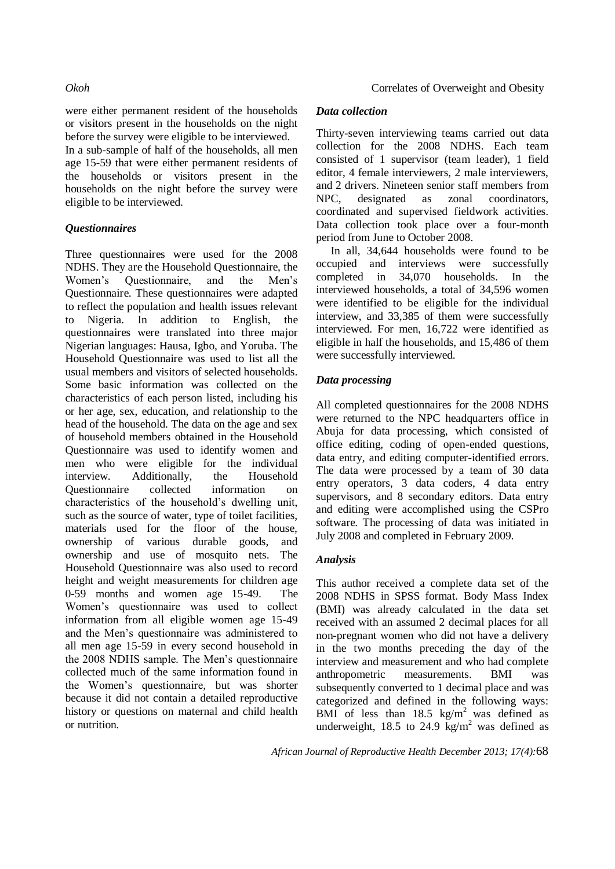were either permanent resident of the households or visitors present in the households on the night before the survey were eligible to be interviewed. In a sub-sample of half of the households, all men age 15-59 that were either permanent residents of the households or visitors present in the households on the night before the survey were eligible to be interviewed.

## *Questionnaires*

Three questionnaires were used for the 2008 NDHS. They are the Household Questionnaire, the Women's Questionnaire, and the Men's Questionnaire. These questionnaires were adapted to reflect the population and health issues relevant to Nigeria. In addition to English, the questionnaires were translated into three major Nigerian languages: Hausa, Igbo, and Yoruba. The Household Questionnaire was used to list all the usual members and visitors of selected households. Some basic information was collected on the characteristics of each person listed, including his or her age, sex, education, and relationship to the head of the household. The data on the age and sex of household members obtained in the Household Questionnaire was used to identify women and men who were eligible for the individual interview. Additionally, the Household Questionnaire collected information on characteristics of the household's dwelling unit, such as the source of water, type of toilet facilities, materials used for the floor of the house, ownership of various durable goods, and ownership and use of mosquito nets. The Household Questionnaire was also used to record height and weight measurements for children age 0-59 months and women age 15-49. The Women's questionnaire was used to collect information from all eligible women age 15-49 and the Men's questionnaire was administered to all men age 15-59 in every second household in the 2008 NDHS sample. The Men's questionnaire collected much of the same information found in the Women's questionnaire, but was shorter because it did not contain a detailed reproductive history or questions on maternal and child health or nutrition.

## *Data collection*

Thirty-seven interviewing teams carried out data collection for the 2008 NDHS. Each team consisted of 1 supervisor (team leader), 1 field editor, 4 female interviewers, 2 male interviewers, and 2 drivers. Nineteen senior staff members from NPC, designated as zonal coordinators, coordinated and supervised fieldwork activities. Data collection took place over a four-month period from June to October 2008.

In all, 34,644 households were found to be occupied and interviews were successfully completed in 34,070 households. In the interviewed households, a total of 34,596 women were identified to be eligible for the individual interview, and 33,385 of them were successfully interviewed. For men, 16,722 were identified as eligible in half the households, and 15,486 of them were successfully interviewed.

## *Data processing*

All completed questionnaires for the 2008 NDHS were returned to the NPC headquarters office in Abuja for data processing, which consisted of office editing, coding of open-ended questions, data entry, and editing computer-identified errors. The data were processed by a team of 30 data entry operators, 3 data coders, 4 data entry supervisors, and 8 secondary editors. Data entry and editing were accomplished using the CSPro software. The processing of data was initiated in July 2008 and completed in February 2009.

## *Analysis*

This author received a complete data set of the 2008 NDHS in SPSS format. Body Mass Index (BMI) was already calculated in the data set received with an assumed 2 decimal places for all non-pregnant women who did not have a delivery in the two months preceding the day of the interview and measurement and who had complete anthropometric measurements. BMI was subsequently converted to 1 decimal place and was categorized and defined in the following ways: BMI of less than  $18.5 \text{ kg/m}^2$  was defined as underweight, 18.5 to 24.9 kg/m<sup>2</sup> was defined as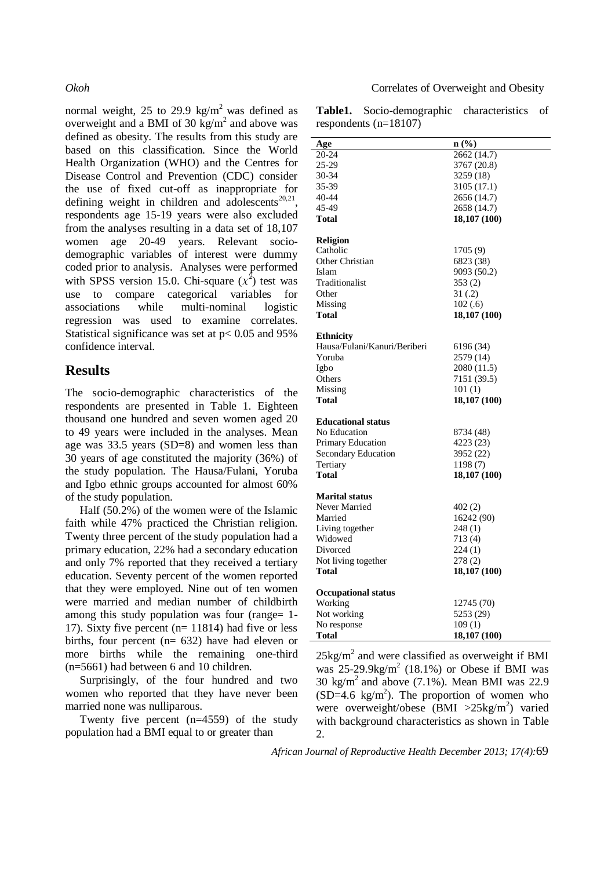normal weight, 25 to 29.9 kg/m<sup>2</sup> was defined as overweight and a BMI of 30  $\text{kg/m}^2$  and above was defined as obesity. The results from this study are based on this classification. Since the World Health Organization (WHO) and the Centres for Disease Control and Prevention (CDC) consider the use of fixed cut-off as inappropriate for defining weight in children and adolescents $^{20,21}$ , respondents age 15-19 years were also excluded from the analyses resulting in a data set of 18,107 women age 20-49 years. Relevant sociodemographic variables of interest were dummy coded prior to analysis. Analyses were performed with SPSS version 15.0. Chi-square  $(x^2)$  test was use to compare categorical variables for associations while multi-nominal logistic regression was used to examine correlates. Statistical significance was set at p< 0.05 and 95% confidence interval.

## **Results**

The socio-demographic characteristics of the respondents are presented in Table 1. Eighteen thousand one hundred and seven women aged 20 to 49 years were included in the analyses. Mean age was 33.5 years (SD=8) and women less than 30 years of age constituted the majority (36%) of the study population. The Hausa/Fulani, Yoruba and Igbo ethnic groups accounted for almost 60% of the study population.

Half (50.2%) of the women were of the Islamic faith while 47% practiced the Christian religion. Twenty three percent of the study population had a primary education, 22% had a secondary education and only 7% reported that they received a tertiary education. Seventy percent of the women reported that they were employed. Nine out of ten women were married and median number of childbirth among this study population was four (range= 1-17). Sixty five percent (n= 11814) had five or less births, four percent (n= 632) have had eleven or more births while the remaining one-third (n=5661) had between 6 and 10 children.

Surprisingly, of the four hundred and two women who reported that they have never been married none was nulliparous.

Twenty five percent (n=4559) of the study population had a BMI equal to or greater than

### *Okoh* Correlates of Overweight and Obesity

**Table1.** Socio-demographic characteristics of respondents (n=18107)

|                              | n(%          |
|------------------------------|--------------|
| Age                          |              |
| 20-24                        | 2662(14.7)   |
| 25-29                        | 3767 (20.8)  |
| 30-34                        | 3259 (18)    |
| 35-39                        | 3105 (17.1)  |
| 40-44                        | 2656 (14.7)  |
| 45-49                        | 2658 (14.7)  |
| <b>Total</b>                 | 18,107 (100) |
|                              |              |
| <b>Religion</b>              |              |
| Catholic                     | 1705 (9)     |
| Other Christian              | 6823 (38)    |
| Islam                        | 9093 (50.2)  |
| Traditionalist               | 353(2)       |
| Other                        | 31(.2)       |
| Missing                      |              |
|                              | 102(.6)      |
| Total                        | 18,107 (100) |
|                              |              |
| <b>Ethnicity</b>             |              |
| Hausa/Fulani/Kanuri/Beriberi | 6196 (34)    |
| Yoruba                       | 2579 (14)    |
| Igbo                         | 2080 (11.5)  |
| Others                       | 7151 (39.5)  |
| Missing                      | 101(1)       |
| <b>Total</b>                 | 18,107 (100) |
|                              |              |
| <b>Educational status</b>    |              |
| No Education                 | 8734 (48)    |
| Primary Education            | 4223 (23)    |
| Secondary Education          | 3952 (22)    |
| Tertiary                     | 1198(7)      |
| <b>Total</b>                 | 18,107 (100) |
|                              |              |
| <b>Marital status</b>        |              |
| Never Married                | 402 (2)      |
| Married                      | 16242 (90)   |
| Living together              | 248(1)       |
| Widowed                      | 713 (4)      |
| Divorced                     | 224(1)       |
| Not living together          | 278(2)       |
|                              |              |
| <b>Total</b>                 | 18,107 (100) |
| <b>Occupational status</b>   |              |
| Working                      | 12745 (70)   |
| Not working                  | 5253 (29)    |
|                              |              |
| No response                  | 109(1)       |
| Total                        | 18,107 (100) |

 $25\text{kg/m}^2$  and were classified as overweight if BMI was  $25-29.9$ kg/m<sup>2</sup> (18.1%) or Obese if BMI was 30 kg/m<sup>2</sup> and above (7.1%). Mean BMI was 22.9  $(SD=4.6 \text{ kg/m}^2)$ . The proportion of women who were overweight/obese (BMI >25kg/m<sup>2</sup>) varied with background characteristics as shown in Table 2.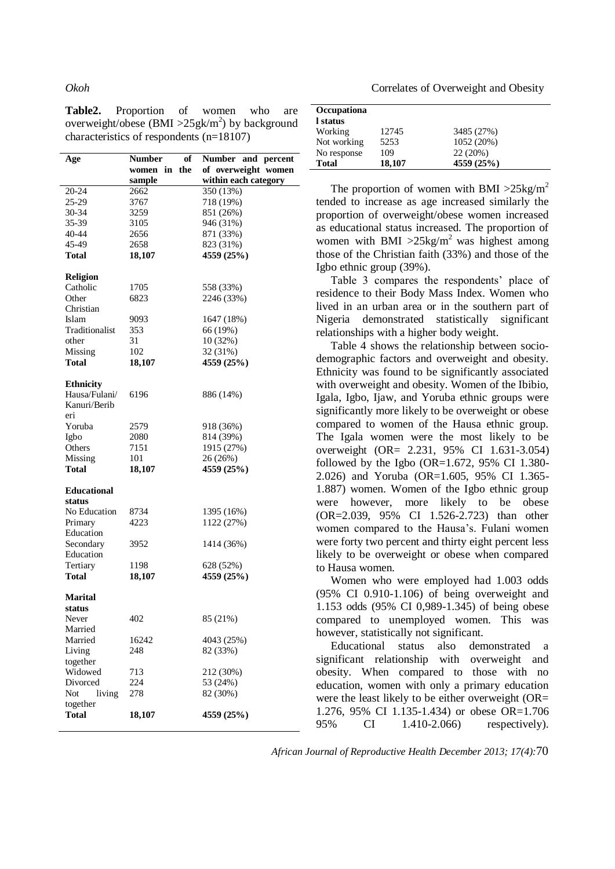**Table2.** Proportion of women who are overweight/obese (BMI >  $25$ gk/m<sup>2</sup>) by background characteristics of respondents (n=18107)

| Age                | Number<br>of    | Number and percent   |
|--------------------|-----------------|----------------------|
|                    | the<br>women in | of overweight women  |
|                    | sample          | within each category |
| 20-24              | 2662            | 350 (13%)            |
| 25-29              | 3767            | 718 (19%)            |
| 30-34              | 3259            | 851 (26%)            |
| 35-39              | 3105            | 946 (31%)            |
| 40-44              | 2656            | 871 (33%)            |
| 45-49              | 2658            | 823 (31%)            |
| Total              | 18,107          | 4559 (25%)           |
| <b>Religion</b>    |                 |                      |
| Catholic           | 1705            | 558 (33%)            |
| Other              | 6823            | 2246 (33%)           |
| Christian          |                 |                      |
| Islam              | 9093            | 1647 (18%)           |
| Traditionalist     | 353             |                      |
|                    |                 | 66 (19%)             |
| other              | 31              | 10(32%)              |
| Missing            | 102             | 32 (31%)             |
| Total              | 18,107          | 4559 (25%)           |
| <b>Ethnicity</b>   |                 |                      |
| Hausa/Fulani/      | 6196            | 886 (14%)            |
| Kanuri/Berib       |                 |                      |
| eri                |                 |                      |
| Yoruba             | 2579            | 918 (36%)            |
| Igbo               | 2080            | 814 (39%)            |
| Others             | 7151            | 1915 (27%)           |
| Missing            | 101             | 26 (26%)             |
| Total              | 18,107          | 4559 (25%)           |
|                    |                 |                      |
| <b>Educational</b> |                 |                      |
| status             |                 |                      |
| No Education       | 8734            | 1395 (16%)           |
| Primary            | 4223            | 1122 (27%)           |
| Education          |                 |                      |
| Secondary          | 3952            | 1414 (36%)           |
| Education          |                 |                      |
| Tertiary           | 1198            | 628 (52%)            |
| Total              | 18,107          | 4559 (25%)           |
| <b>Marital</b>     |                 |                      |
| status             |                 |                      |
| Never              | 402             | 85 (21%)             |
| Married            |                 |                      |
| Married            | 16242           | 4043 (25%)           |
| Living             | 248             | 82 (33%)             |
|                    |                 |                      |
| together           |                 |                      |
| Widowed            | 713             | 212 (30%)            |
| Divorced           | 224             | 53 (24%)             |
| Not<br>living      | 278             | 82 (30%)             |
| together           |                 |                      |
| <b>Total</b>       | 18,107          | 4559 (25%)           |
|                    |                 |                      |

*Okoh* Correlates of Overweight and Obesity

| Occupationa<br>l status |        |            |  |
|-------------------------|--------|------------|--|
| Working                 | 12745  | 3485 (27%) |  |
| Not working             | 5253   | 1052 (20%) |  |
| No response             | 109    | 22 (20%)   |  |
| <b>Total</b>            | 18,107 | 4559 (25%) |  |

The proportion of women with BMI  $>25 \text{kg/m}^2$ tended to increase as age increased similarly the proportion of overweight/obese women increased as educational status increased. The proportion of women with BMI  $>25 \text{kg/m}^2$  was highest among those of the Christian faith (33%) and those of the Igbo ethnic group (39%).

Table 3 compares the respondents' place of residence to their Body Mass Index. Women who lived in an urban area or in the southern part of Nigeria demonstrated statistically significant relationships with a higher body weight.

Table 4 shows the relationship between sociodemographic factors and overweight and obesity. Ethnicity was found to be significantly associated with overweight and obesity. Women of the Ibibio, Igala, Igbo, Ijaw, and Yoruba ethnic groups were significantly more likely to be overweight or obese compared to women of the Hausa ethnic group. The Igala women were the most likely to be overweight (OR= 2.231, 95% CI 1.631-3.054) followed by the Igbo  $(OR=1.672, 95\% \text{ CI } 1.380$ -2.026) and Yoruba (OR=1.605, 95% CI 1.365- 1.887) women. Women of the Igbo ethnic group were however, more likely to be obese (OR=2.039, 95% CI 1.526-2.723) than other women compared to the Hausa's. Fulani women were forty two percent and thirty eight percent less likely to be overweight or obese when compared to Hausa women.

Women who were employed had 1.003 odds (95% CI 0.910-1.106) of being overweight and 1.153 odds (95% CI 0,989-1.345) of being obese compared to unemployed women. This was however, statistically not significant.

Educational status also demonstrated a significant relationship with overweight and obesity. When compared to those with no education, women with only a primary education were the least likely to be either overweight (OR= 1.276, 95% CI 1.135-1.434) or obese OR=1.706 95% CI 1.410-2.066) respectively).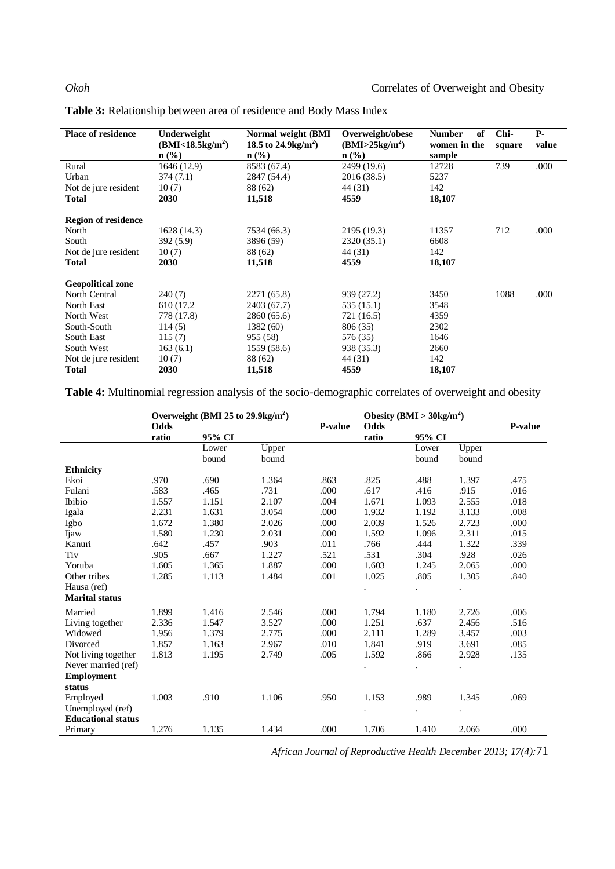| <b>Place of residence</b>  | Underweight<br>(BMI < 18.5 kg/m <sup>2</sup> )<br>$n$ (%) | Normal weight (BMI<br>18.5 to 24.9 kg/m <sup>2</sup> )<br>$n$ (%) | Overweight/obese<br>(BMI>25kg/m <sup>2</sup> )<br>$n$ (%) | <b>Number</b><br>of<br>women in the<br>sample | Chi-<br>square | <b>P</b> -<br>value |
|----------------------------|-----------------------------------------------------------|-------------------------------------------------------------------|-----------------------------------------------------------|-----------------------------------------------|----------------|---------------------|
| Rural                      | 1646 (12.9)                                               | 8583 (67.4)                                                       | 2499 (19.6)                                               | 12728                                         | 739            | .000                |
| Urban                      | 374(7.1)                                                  | 2847 (54.4)                                                       | 2016 (38.5)                                               | 5237                                          |                |                     |
| Not de jure resident       | 10(7)                                                     | 88 (62)                                                           | 44 (31)                                                   | 142                                           |                |                     |
| <b>Total</b>               | 2030                                                      | 11,518                                                            | 4559                                                      | 18,107                                        |                |                     |
| <b>Region of residence</b> |                                                           |                                                                   |                                                           |                                               |                |                     |
| North                      | 1628 (14.3)                                               | 7534 (66.3)                                                       | 2195 (19.3)                                               | 11357                                         | 712            | .000                |
| South                      | 392(5.9)                                                  | 3896 (59)                                                         | 2320 (35.1)                                               | 6608                                          |                |                     |
| Not de jure resident       | 10(7)                                                     | 88 (62)                                                           | 44 (31)                                                   | 142                                           |                |                     |
| <b>Total</b>               | 2030                                                      | 11,518                                                            | 4559                                                      | 18,107                                        |                |                     |
| <b>Geopolitical zone</b>   |                                                           |                                                                   |                                                           |                                               |                |                     |
| North Central              | 240(7)                                                    | 2271 (65.8)                                                       | 939 (27.2)                                                | 3450                                          | 1088           | .000                |
| North East                 | 610 (17.2)                                                | 2403 (67.7)                                                       | 535 (15.1)                                                | 3548                                          |                |                     |
| North West                 | 778 (17.8)                                                | 2860 (65.6)                                                       | 721 (16.5)                                                | 4359                                          |                |                     |
| South-South                | 114(5)                                                    | 1382 (60)                                                         | 806 (35)                                                  | 2302                                          |                |                     |
| South East                 | 115(7)                                                    | 955 (58)                                                          | 576 (35)                                                  | 1646                                          |                |                     |
| South West                 | 163(6.1)                                                  | 1559 (58.6)                                                       | 938 (35.3)                                                | 2660                                          |                |                     |
| Not de jure resident       | 10(7)                                                     | 88 (62)                                                           | 44 (31)                                                   | 142                                           |                |                     |
| Total                      | 2030                                                      | 11,518                                                            | 4559                                                      | 18,107                                        |                |                     |

| Table 3: Relationship between area of residence and Body Mass Index |
|---------------------------------------------------------------------|
|---------------------------------------------------------------------|

**Table 4:** Multinomial regression analysis of the socio-demographic correlates of overweight and obesity

|                           | Overweight (BMI 25 to $29.9 \text{kg/m}^2$ ) |                |                |                | Obesity (BMI > $30\text{kg/m}^2$ ) |                |                |         |
|---------------------------|----------------------------------------------|----------------|----------------|----------------|------------------------------------|----------------|----------------|---------|
|                           | Odds                                         |                |                | <b>P-value</b> | Odds                               |                |                | P-value |
|                           | ratio                                        | 95% CI         |                |                | ratio                              | 95% CI         |                |         |
|                           |                                              | Lower<br>bound | Upper<br>bound |                |                                    | Lower<br>bound | Upper<br>bound |         |
| <b>Ethnicity</b>          |                                              |                |                |                |                                    |                |                |         |
| Ekoi                      | .970                                         | .690           | 1.364          | .863           | .825                               | .488           | 1.397          | .475    |
| Fulani                    | .583                                         | .465           | .731           | .000           | .617                               | .416           | .915           | .016    |
| <b>Ibibio</b>             | 1.557                                        | 1.151          | 2.107          | .004           | 1.671                              | 1.093          | 2.555          | .018    |
| Igala                     | 2.231                                        | 1.631          | 3.054          | .000           | 1.932                              | 1.192          | 3.133          | .008    |
| Igbo                      | 1.672                                        | 1.380          | 2.026          | .000           | 2.039                              | 1.526          | 2.723          | .000    |
| <b>I</b> jaw              | 1.580                                        | 1.230          | 2.031          | .000           | 1.592                              | 1.096          | 2.311          | .015    |
| Kanuri                    | .642                                         | .457           | .903           | .011           | .766                               | .444           | 1.322          | .339    |
| Tiv                       | .905                                         | .667           | 1.227          | .521           | .531                               | .304           | .928           | .026    |
| Yoruba                    | 1.605                                        | 1.365          | 1.887          | .000           | 1.603                              | 1.245          | 2.065          | .000    |
| Other tribes              | 1.285                                        | 1.113          | 1.484          | .001           | 1.025                              | .805           | 1.305          | .840    |
| Hausa (ref)               |                                              |                |                |                | $\bullet$                          | $\cdot$        | $\cdot$        |         |
| <b>Marital status</b>     |                                              |                |                |                |                                    |                |                |         |
| Married                   | 1.899                                        | 1.416          | 2.546          | .000           | 1.794                              | 1.180          | 2.726          | .006    |
| Living together           | 2.336                                        | 1.547          | 3.527          | .000           | 1.251                              | .637           | 2.456          | .516    |
| Widowed                   | 1.956                                        | 1.379          | 2.775          | .000           | 2.111                              | 1.289          | 3.457          | .003    |
| Divorced                  | 1.857                                        | 1.163          | 2.967          | .010           | 1.841                              | .919           | 3.691          | .085    |
| Not living together       | 1.813                                        | 1.195          | 2.749          | .005           | 1.592                              | .866           | 2.928          | .135    |
| Never married (ref)       |                                              |                |                |                |                                    |                |                |         |
| <b>Employment</b>         |                                              |                |                |                |                                    |                |                |         |
| status                    |                                              |                |                |                |                                    |                |                |         |
| Employed                  | 1.003                                        | .910           | 1.106          | .950           | 1.153                              | .989           | 1.345          | .069    |
| Unemployed (ref)          |                                              |                |                |                |                                    |                | $\bullet$      |         |
| <b>Educational status</b> |                                              |                |                |                |                                    |                |                |         |
| Primary                   | 1.276                                        | 1.135          | 1.434          | .000.          | 1.706                              | 1.410          | 2.066          | .000.   |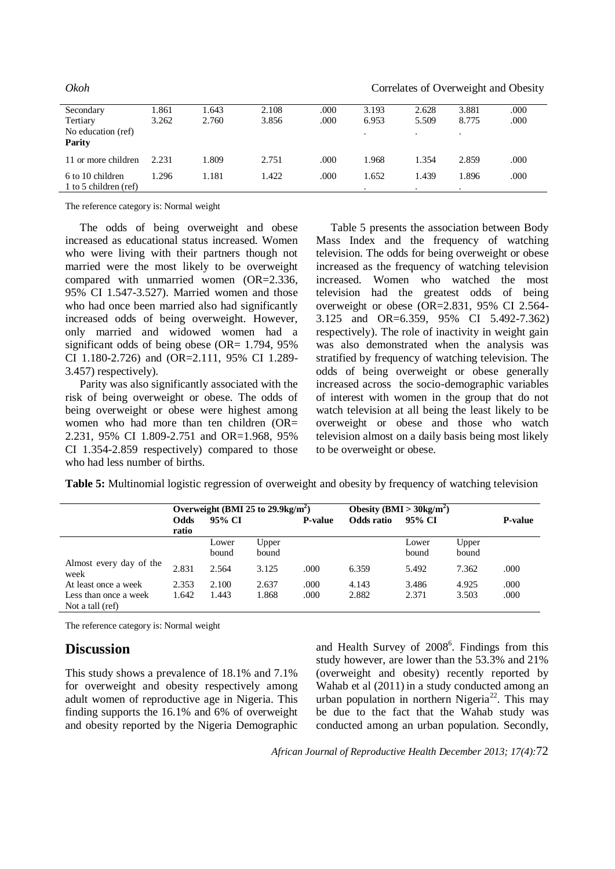|                                           |       |       |       |      |       |       | ັ     | $\epsilon$ |
|-------------------------------------------|-------|-------|-------|------|-------|-------|-------|------------|
| Secondary                                 | 1.861 | 1.643 | 2.108 | .000 | 3.193 | 2.628 | 3.881 | .000       |
| Tertiary                                  | 3.262 | 2.760 | 3.856 | .000 | 6.953 | 5.509 | 8.775 | .000       |
| No education (ref)<br><b>Parity</b>       |       |       |       |      |       |       |       |            |
| 11 or more children                       | 2.231 | 1.809 | 2.751 | .000 | 1.968 | 1.354 | 2.859 | .000       |
| 6 to 10 children<br>1 to 5 children (ref) | 1.296 | 1.181 | 1.422 | .000 | 1.652 | 1.439 | 1.896 | .000       |

*Okoh* Correlates of Overweight and Obesity

The reference category is: Normal weight

The odds of being overweight and obese increased as educational status increased. Women who were living with their partners though not married were the most likely to be overweight compared with unmarried women (OR=2.336, 95% CI 1.547-3.527). Married women and those who had once been married also had significantly increased odds of being overweight. However, only married and widowed women had a significant odds of being obese (OR=  $1.794$ ,  $95\%$ ) CI 1.180-2.726) and (OR=2.111, 95% CI 1.289- 3.457) respectively).

Parity was also significantly associated with the risk of being overweight or obese. The odds of being overweight or obese were highest among women who had more than ten children (OR= 2.231, 95% CI 1.809-2.751 and OR=1.968, 95% CI 1.354-2.859 respectively) compared to those who had less number of births.

Table 5 presents the association between Body Mass Index and the frequency of watching television. The odds for being overweight or obese increased as the frequency of watching television increased. Women who watched the most television had the greatest odds of being overweight or obese (OR=2.831, 95% CI 2.564- 3.125 and OR=6.359, 95% CI 5.492-7.362) respectively). The role of inactivity in weight gain was also demonstrated when the analysis was stratified by frequency of watching television. The odds of being overweight or obese generally increased across the socio-demographic variables of interest with women in the group that do not watch television at all being the least likely to be overweight or obese and those who watch television almost on a daily basis being most likely to be overweight or obese.

**Table 5:** Multinomial logistic regression of overweight and obesity by frequency of watching television

|                                           | Overweight (BMI 25 to $29.9 \text{kg/m}^2$ ) |                |                |                | Obesity (BMI > $30\text{kg/m}^2$ ) |                |                |                |
|-------------------------------------------|----------------------------------------------|----------------|----------------|----------------|------------------------------------|----------------|----------------|----------------|
|                                           | Odds<br>ratio                                | 95% CI         |                | <b>P-value</b> | Odds ratio                         | 95% CI         |                | <b>P-value</b> |
|                                           |                                              | Lower<br>bound | Upper<br>bound |                |                                    | Lower<br>bound | Upper<br>bound |                |
| Almost every day of the<br>week           | 2.831                                        | 2.564          | 3.125          | .000           | 6.359                              | 5.492          | 7.362          | .000           |
| At least once a week                      | 2.353                                        | 2.100          | 2.637          | .000           | 4.143                              | 3.486          | 4.925          | .000           |
| Less than once a week<br>Not a tall (ref) | 1.642                                        | 1.443          | 1.868          | .000           | 2.882                              | 2.371          | 3.503          | .000           |

The reference category is: Normal weight

## **Discussion**

This study shows a prevalence of 18.1% and 7.1% for overweight and obesity respectively among adult women of reproductive age in Nigeria. This finding supports the 16.1% and 6% of overweight and obesity reported by the Nigeria Demographic

and Health Survey of 2008<sup>6</sup>. Findings from this study however, are lower than the 53.3% and 21% (overweight and obesity) recently reported by Wahab et al (2011) in a study conducted among an urban population in northern Nigeria<sup>22</sup>. This may be due to the fact that the Wahab study was conducted among an urban population. Secondly,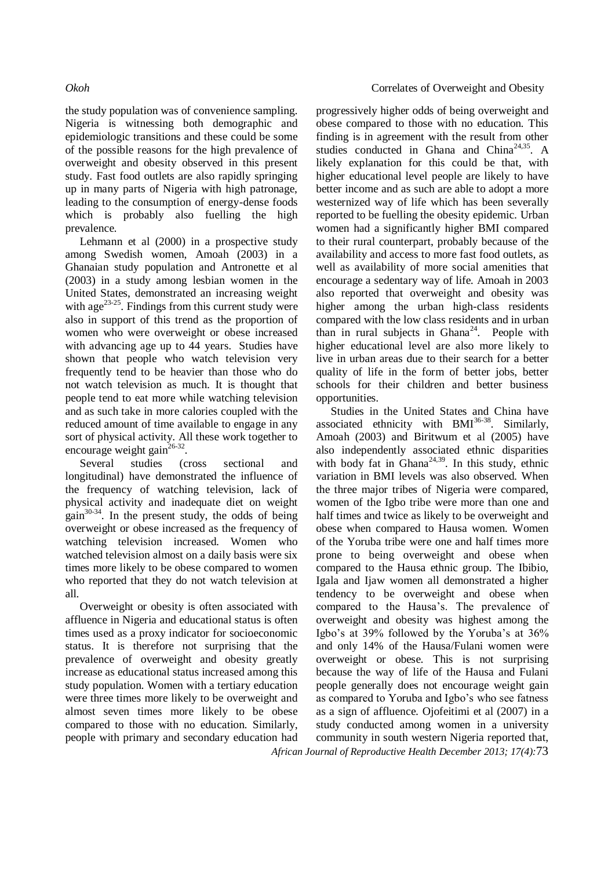the study population was of convenience sampling. Nigeria is witnessing both demographic and epidemiologic transitions and these could be some of the possible reasons for the high prevalence of overweight and obesity observed in this present study. Fast food outlets are also rapidly springing up in many parts of Nigeria with high patronage, leading to the consumption of energy-dense foods which is probably also fuelling the high prevalence.

Lehmann et al (2000) in a prospective study among Swedish women, Amoah (2003) in a Ghanaian study population and Antronette et al (2003) in a study among lesbian women in the United States, demonstrated an increasing weight with age $^{23-25}$ . Findings from this current study were also in support of this trend as the proportion of women who were overweight or obese increased with advancing age up to 44 years. Studies have shown that people who watch television very frequently tend to be heavier than those who do not watch television as much. It is thought that people tend to eat more while watching television and as such take in more calories coupled with the reduced amount of time available to engage in any sort of physical activity. All these work together to encourage weight gain<sup>26-32</sup>.

Several studies (cross sectional and longitudinal) have demonstrated the influence of the frequency of watching television, lack of physical activity and inadequate diet on weight  $\text{gain}^{30\text{-}34}$ . In the present study, the odds of being overweight or obese increased as the frequency of watching television increased. Women who watched television almost on a daily basis were six times more likely to be obese compared to women who reported that they do not watch television at all.

Overweight or obesity is often associated with affluence in Nigeria and educational status is often times used as a proxy indicator for socioeconomic status. It is therefore not surprising that the prevalence of overweight and obesity greatly increase as educational status increased among this study population. Women with a tertiary education were three times more likely to be overweight and almost seven times more likely to be obese compared to those with no education. Similarly, people with primary and secondary education had

progressively higher odds of being overweight and obese compared to those with no education. This finding is in agreement with the result from other studies conducted in Ghana and China<sup>24,35</sup>. A likely explanation for this could be that, with higher educational level people are likely to have better income and as such are able to adopt a more westernized way of life which has been severally reported to be fuelling the obesity epidemic. Urban women had a significantly higher BMI compared to their rural counterpart, probably because of the availability and access to more fast food outlets, as well as availability of more social amenities that encourage a sedentary way of life. Amoah in 2003 also reported that overweight and obesity was higher among the urban high-class residents compared with the low class residents and in urban than in rural subjects in Ghana<sup>24</sup>. People with higher educational level are also more likely to live in urban areas due to their search for a better quality of life in the form of better jobs, better schools for their children and better business opportunities.

Studies in the United States and China have associated ethnicity with  $BMI^{36-38}$ . Similarly, Amoah (2003) and Biritwum et al (2005) have also independently associated ethnic disparities with body fat in  $\ddot{G}$ hana<sup>24,39</sup>. In this study, ethnic variation in BMI levels was also observed. When the three major tribes of Nigeria were compared, women of the Igbo tribe were more than one and half times and twice as likely to be overweight and obese when compared to Hausa women. Women of the Yoruba tribe were one and half times more prone to being overweight and obese when compared to the Hausa ethnic group. The Ibibio, Igala and Ijaw women all demonstrated a higher tendency to be overweight and obese when compared to the Hausa's. The prevalence of overweight and obesity was highest among the Igbo's at 39% followed by the Yoruba's at 36% and only 14% of the Hausa/Fulani women were overweight or obese. This is not surprising because the way of life of the Hausa and Fulani people generally does not encourage weight gain as compared to Yoruba and Igbo's who see fatness as a sign of affluence. Ojofeitimi et al (2007) in a study conducted among women in a university community in south western Nigeria reported that,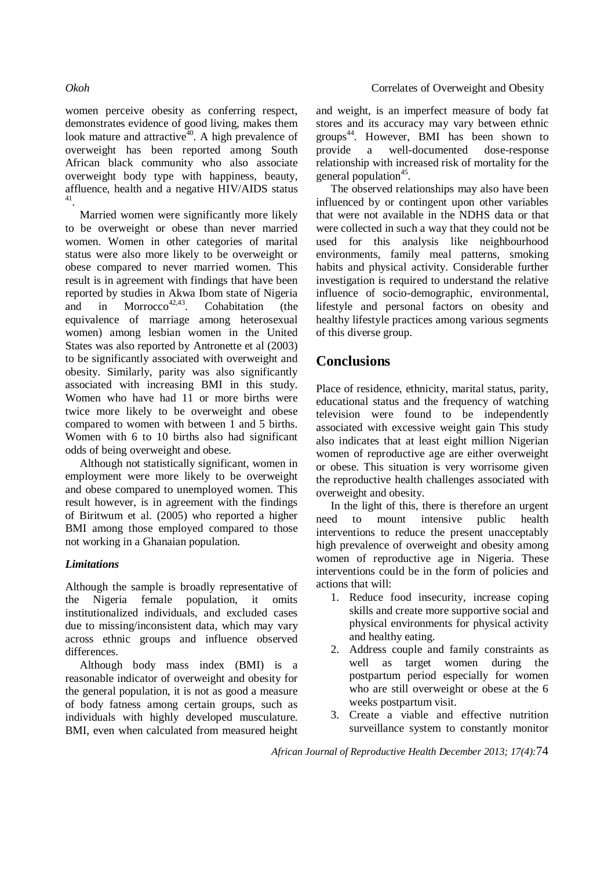women perceive obesity as conferring respect, demonstrates evidence of good living, makes them look mature and attractive<sup> $40$ </sup>. A high prevalence of overweight has been reported among South African black community who also associate overweight body type with happiness, beauty, affluence, health and a negative HIV/AIDS status 41 .

Married women were significantly more likely to be overweight or obese than never married women. Women in other categories of marital status were also more likely to be overweight or obese compared to never married women. This result is in agreement with findings that have been reported by studies in Akwa Ibom state of Nigeria and in Morrocco<sup>42,43</sup>. . Cohabitation (the equivalence of marriage among heterosexual women) among lesbian women in the United States was also reported by Antronette et al (2003) to be significantly associated with overweight and obesity. Similarly, parity was also significantly associated with increasing BMI in this study. Women who have had 11 or more births were twice more likely to be overweight and obese compared to women with between 1 and 5 births. Women with 6 to 10 births also had significant odds of being overweight and obese.

Although not statistically significant, women in employment were more likely to be overweight and obese compared to unemployed women. This result however, is in agreement with the findings of Biritwum et al. (2005) who reported a higher BMI among those employed compared to those not working in a Ghanaian population.

## *Limitations*

Although the sample is broadly representative of the Nigeria female population, it omits institutionalized individuals, and excluded cases due to missing/inconsistent data, which may vary across ethnic groups and influence observed differences.

Although body mass index (BMI) is a reasonable indicator of overweight and obesity for the general population, it is not as good a measure of body fatness among certain groups, such as individuals with highly developed musculature. BMI, even when calculated from measured height and weight, is an imperfect measure of body fat stores and its accuracy may vary between ethnic groups<sup>44</sup>. However, BMI has been shown to provide a well-documented dose-response relationship with increased risk of mortality for the general population<sup>45</sup>.

The observed relationships may also have been influenced by or contingent upon other variables that were not available in the NDHS data or that were collected in such a way that they could not be used for this analysis like neighbourhood environments, family meal patterns, smoking habits and physical activity. Considerable further investigation is required to understand the relative influence of socio-demographic, environmental, lifestyle and personal factors on obesity and healthy lifestyle practices among various segments of this diverse group.

## **Conclusions**

Place of residence, ethnicity, marital status, parity, educational status and the frequency of watching television were found to be independently associated with excessive weight gain This study also indicates that at least eight million Nigerian women of reproductive age are either overweight or obese. This situation is very worrisome given the reproductive health challenges associated with overweight and obesity.

In the light of this, there is therefore an urgent need to mount intensive public health interventions to reduce the present unacceptably high prevalence of overweight and obesity among women of reproductive age in Nigeria. These interventions could be in the form of policies and actions that will:

- 1. Reduce food insecurity, increase coping skills and create more supportive social and physical environments for physical activity and healthy eating.
- 2. Address couple and family constraints as well as target women during the postpartum period especially for women who are still overweight or obese at the 6 weeks postpartum visit.
- 3. Create a viable and effective nutrition surveillance system to constantly monitor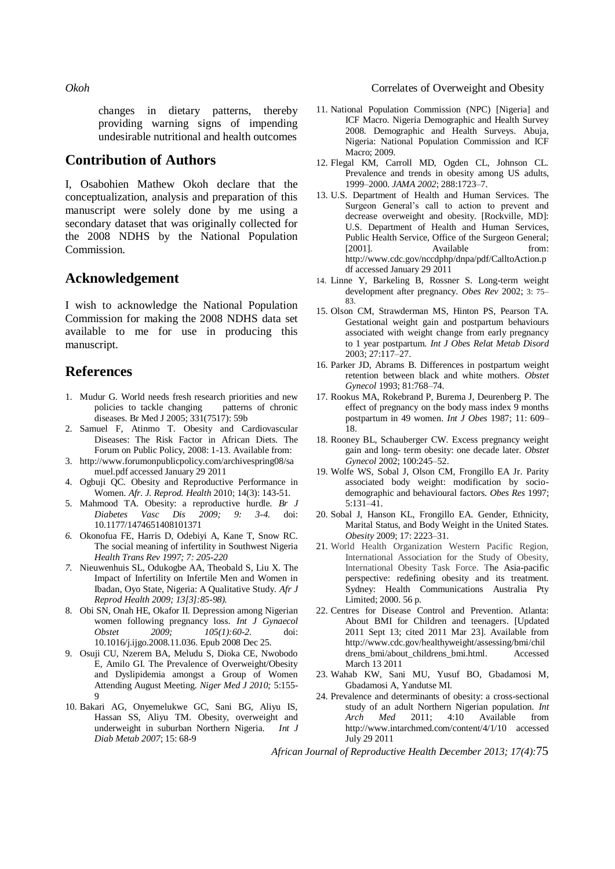changes in dietary patterns, thereby providing warning signs of impending undesirable nutritional and health outcomes

## **Contribution of Authors**

I, Osabohien Mathew Okoh declare that the conceptualization, analysis and preparation of this manuscript were solely done by me using a secondary dataset that was originally collected for the 2008 NDHS by the National Population Commission.

## **Acknowledgement**

I wish to acknowledge the National Population Commission for making the 2008 NDHS data set available to me for use in producing this manuscript.

## **References**

- 1. Mudur G. World needs fresh research priorities and new policies to tackle changing patterns of chronic diseases. Br Med J 2005; 331(7517): 59b
- 2. Samuel F, Atinmo T. Obesity and Cardiovascular Diseases: The Risk Factor in African Diets. The Forum on Public Policy, 2008: 1-13. Available from:
- 3. http://www.forumonpublicpolicy.com/archivespring08/sa muel.pdf accessed January 29 2011
- 4. Ogbuji QC*.* Obesity and Reproductive Performance in Women. *Afr. J. Reprod. Health* 2010; 14(3): 143-51.
- 5. Mahmood TA. Obesity: a reproductive hurdle. *Br J Diabetes Vasc Dis 2009; 9: 3-4*. doi: 10.1177/1474651408101371
- *6.* Okonofua FE, Harris D, Odebiyi A, Kane T, Snow RC. The social meaning of infertility in Southwest Nigeria *Health Trans Rev 1997; 7: 205-220*
- *7.* Nieuwenhuis SL, Odukogbe AA, Theobald S, Liu X*.* The Impact of Infertility on Infertile Men and Women in Ibadan, Oyo State, Nigeria: A Qualitative Study. *Afr J Reprod Health 2009; 13[3]:85-98).*
- 8. Obi SN, Onah HE, Okafor II. Depression among Nigerian women following pregnancy loss. *Int J Gynaecol Obstet 2009; 105(1):60-2.* doi: 10.1016/j.ijgo.2008.11.036. Epub 2008 Dec 25.
- 9. Osuji CU, Nzerem BA, Meludu S, Dioka CE, Nwobodo E, Amilo GI. The Prevalence of Overweight/Obesity and Dyslipidemia amongst a Group of Women Attending August Meeting. *Niger Med J 2010;* 5:155- 9
- 10. Bakari AG, Onyemelukwe GC, Sani BG, Aliyu IS, Hassan SS, Aliyu TM. Obesity, overweight and underweight in suburban Northern Nigeria. *Int J Diab Metab 2007*; 15: 68-9

### *Okoh* Correlates of Overweight and Obesity

- 11. National Population Commission (NPC) [Nigeria] and ICF Macro. Nigeria Demographic and Health Survey 2008. Demographic and Health Surveys. Abuja, Nigeria: National Population Commission and ICF Macro; 2009.
- 12. Flegal KM, Carroll MD, Ogden CL, Johnson CL. Prevalence and trends in obesity among US adults, 1999–2000. *JAMA 2002*; 288:1723–7.
- 13. U.S. Department of Health and Human Services. The Surgeon General's call to action to prevent and decrease overweight and obesity. [Rockville, MD]: U.S. Department of Health and Human Services, Public Health Service, Office of the Surgeon General; [2001]. Available from: http://www.cdc.gov/nccdphp/dnpa/pdf/CalltoAction.p df accessed January 29 2011
- 14. Linne Y, Barkeling B, Rossner S. Long-term weight development after pregnancy. *Obes Rev* 2002; 3: 75– 83.
- 15. Olson CM, Strawderman MS, Hinton PS, Pearson TA. Gestational weight gain and postpartum behaviours associated with weight change from early pregnancy to 1 year postpartum. *Int J Obes Relat Metab Disord* 2003; 27:117–27.
- 16. Parker JD, Abrams B. Differences in postpartum weight retention between black and white mothers. *Obstet Gynecol* 1993; 81:768–74.
- 17. Rookus MA, Rokebrand P, Burema J, Deurenberg P. The effect of pregnancy on the body mass index 9 months postpartum in 49 women. *Int J Obes* 1987; 11: 609– 18.
- 18. Rooney BL, Schauberger CW. Excess pregnancy weight gain and long- term obesity: one decade later. *Obstet Gynecol* 2002; 100:245–52.
- 19. Wolfe WS, Sobal J, Olson CM, Frongillo EA Jr. Parity associated body weight: modification by sociodemographic and behavioural factors. *Obes Res* 1997; 5:131–41.
- 20. Sobal J, Hanson KL, Frongillo EA. Gender, Ethnicity, Marital Status, and Body Weight in the United States. *Obesity* 2009; 17: 2223–31.
- 21. World Health Organization Western Pacific Region, International Association for the Study of Obesity, International Obesity Task Force. The Asia-pacific perspective: redefining obesity and its treatment. Sydney: Health Communications Australia Pty Limited; 2000. 56 p.
- 22. Centres for Disease Control and Prevention. Atlanta: About BMI for Children and teenagers. [Updated 2011 Sept 13; cited 2011 Mar 23]. Available from http://www.cdc.gov/healthyweight/assessing/bmi/chil drens\_bmi/about\_childrens\_bmi.html. Accessed March 13 2011
- 23. Wahab KW, Sani MU, Yusuf BO, Gbadamosi M, Gbadamosi A, Yandutse MI.
- 24. Prevalence and determinants of obesity: a cross-sectional study of an adult Northern Nigerian population. *Int Arch Med* 2011; 4:10 Available from http://www.intarchmed.com/content/4/1/10 accessed July 29 2011